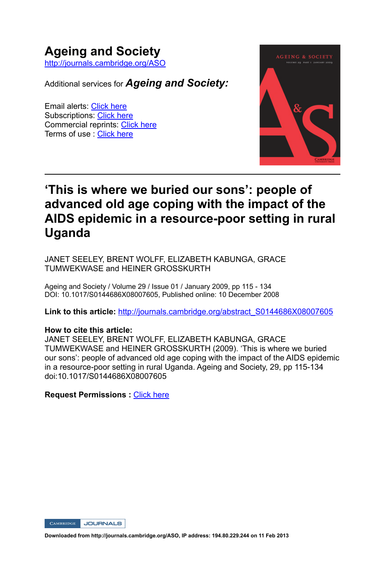## **Ageing and Society**

http://journals.cambridge.org/ASO

Additional services for *Ageing and Society:*

Email alerts: Click here Subscriptions: Click here Commercial reprints: Click here Terms of use : Click here



## **'This is where we buried our sons': people of advanced old age coping with the impact of the**  AIDS epidemic in a resource-poor setting in rural **Uganda**

JANET SEELEY, BRENT WOLFF, ELIZABETH KABUNGA, GRACE TUMWEKWASE and HEINER GROSSKURTH

Ageing and Society / Volume 29 / Issue 01 / January 2009, pp 115 - 134 DOI: 10.1017/S0144686X08007605, Published online: 10 December 2008

**Link to this article:** http://journals.cambridge.org/abstract\_S0144686X08007605

#### **How to cite this article:**

JANET SEELEY, BRENT WOLFF, ELIZABETH KABUNGA, GRACE TUMWEKWASE and HEINER GROSSKURTH (2009). 'This is where we buried our sons': people of advanced old age coping with the impact of the AIDS epidemic in a resource-poor setting in rural Uganda. Ageing and Society, 29, pp 115-134 doi:10.1017/S0144686X08007605

**Request Permissions :** Click here

CAMBRIDGE JOURNALS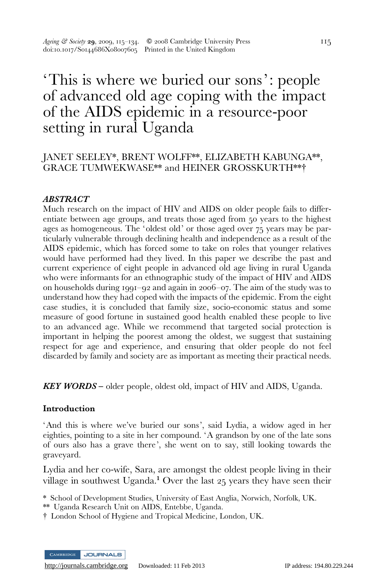# 'This is where we buried our sons': people of advanced old age coping with the impact of the AIDS epidemic in a resource-poor setting in rural Uganda

## JANET SEELEY\*, BRENT WOLFF\*\*, ELIZABETH KABUNGA\*\*, GRACE TUMWEKWASE\*\* and HEINER GROSSKURTH\*\*†

#### ABSTRACT

Much research on the impact of HIV and AIDS on older people fails to differentiate between age groups, and treats those aged from 50 years to the highest ages as homogeneous. The 'oldest old' or those aged over 75 years may be particularly vulnerable through declining health and independence as a result of the AIDS epidemic, which has forced some to take on roles that younger relatives would have performed had they lived. In this paper we describe the past and current experience of eight people in advanced old age living in rural Uganda who were informants for an ethnographic study of the impact of HIV and AIDS on households during 1991–92 and again in 2006–07. The aim of the study was to understand how they had coped with the impacts of the epidemic. From the eight case studies, it is concluded that family size, socio-economic status and some measure of good fortune in sustained good health enabled these people to live to an advanced age. While we recommend that targeted social protection is important in helping the poorest among the oldest, we suggest that sustaining respect for age and experience, and ensuring that older people do not feel discarded by family and society are as important as meeting their practical needs.

**KEY WORDS** – older people, oldest old, impact of HIV and AIDS, Uganda.

#### Introduction

'And this is where we've buried our sons', said Lydia, a widow aged in her eighties, pointing to a site in her compound. 'A grandson by one of the late sons of ours also has a grave there', she went on to say, still looking towards the graveyard.

Lydia and her co-wife, Sara, are amongst the oldest people living in their village in southwest Uganda.<sup>1</sup> Over the last 25 years they have seen their

\* School of Development Studies, University of East Anglia, Norwich, Norfolk, UK.

\*\* Uganda Research Unit on AIDS, Entebbe, Uganda.

# London School of Hygiene and Tropical Medicine, London, UK.

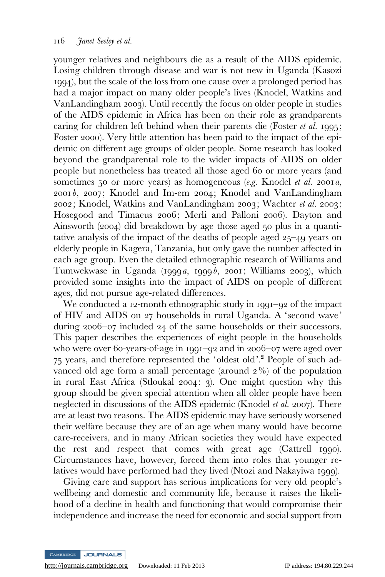younger relatives and neighbours die as a result of the AIDS epidemic. Losing children through disease and war is not new in Uganda (Kasozi 1994), but the scale of the loss from one cause over a prolonged period has had a major impact on many older people's lives (Knodel, Watkins and VanLandingham 2003). Until recently the focus on older people in studies of the AIDS epidemic in Africa has been on their role as grandparents caring for children left behind when their parents die (Foster *et al.* 1995; Foster 2000). Very little attention has been paid to the impact of the epidemic on different age groups of older people. Some research has looked beyond the grandparental role to the wider impacts of AIDS on older people but nonetheless has treated all those aged 60 or more years (and sometimes 50 or more years) as homogeneous (e.g. Knodel et al. 2001a, 2001b, 2007; Knodel and Im-em 2004; Knodel and VanLandingham 2002; Knodel, Watkins and VanLandingham 2003; Wachter et al. 2003; Hosegood and Timaeus 2006; Merli and Palloni 2006). Dayton and Ainsworth (2004) did breakdown by age those aged 50 plus in a quantitative analysis of the impact of the deaths of people aged 25–49 years on elderly people in Kagera, Tanzania, but only gave the number affected in each age group. Even the detailed ethnographic research of Williams and Tumwekwase in Uganda (1999a, 1999b, 2001; Williams 2003), which provided some insights into the impact of AIDS on people of different ages, did not pursue age-related differences.

We conducted a 12-month ethnographic study in 1991–92 of the impact of HIV and AIDS on 27 households in rural Uganda. A ' second wave' during 2006–07 included 24 of the same households or their successors. This paper describes the experiences of eight people in the households who were over 60-years-of-age in 1991–92 and in 2006–07 were aged over 75 years, and therefore represented the 'oldest old'.<sup>2</sup> People of such advanced old age form a small percentage (around 2%) of the population in rural East Africa (Stloukal 2004: 3). One might question why this group should be given special attention when all older people have been neglected in discussions of the AIDS epidemic (Knodel et al. 2007). There are at least two reasons. The AIDS epidemic may have seriously worsened their welfare because they are of an age when many would have become care-receivers, and in many African societies they would have expected the rest and respect that comes with great age (Cattrell 1990). Circumstances have, however, forced them into roles that younger relatives would have performed had they lived (Ntozi and Nakayiwa 1999).

Giving care and support has serious implications for very old people's wellbeing and domestic and community life, because it raises the likelihood of a decline in health and functioning that would compromise their independence and increase the need for economic and social support from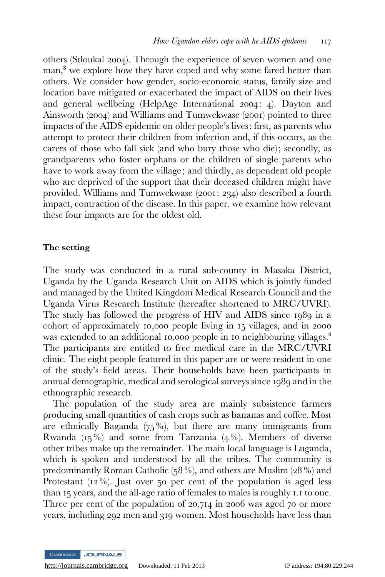others (Stloukal 2004). Through the experience of seven women and one man,<sup>3</sup> we explore how they have coped and why some fared better than others. We consider how gender, socio-economic status, family size and location have mitigated or exacerbated the impact of AIDS on their lives and general wellbeing (HelpAge International 2004: 4). Dayton and Ainsworth (2004) and Williams and Tumwekwase (2001) pointed to three impacts of the AIDS epidemic on older people's lives: first, as parents who attempt to protect their children from infection and, if this occurs, as the carers of those who fall sick (and who bury those who die); secondly, as grandparents who foster orphans or the children of single parents who have to work away from the village; and thirdly, as dependent old people who are deprived of the support that their deceased children might have provided. Williams and Tumwekwase (2001: 234) also described a fourth impact, contraction of the disease. In this paper, we examine how relevant these four impacts are for the oldest old.

#### The setting

The study was conducted in a rural sub-county in Masaka District, Uganda by the Uganda Research Unit on AIDS which is jointly funded and managed by the United Kingdom Medical Research Council and the Uganda Virus Research Institute (hereafter shortened to MRC/UVRI). The study has followed the progress of HIV and AIDS since 1989 in a cohort of approximately 10,000 people living in 15 villages, and in 2000 was extended to an additional 10,000 people in 10 neighbouring villages.<sup>4</sup> The participants are entitled to free medical care in the MRC/UVRI clinic. The eight people featured in this paper are or were resident in one of the study's field areas. Their households have been participants in annual demographic, medical and serological surveys since 1989 and in the ethnographic research.

The population of the study area are mainly subsistence farmers producing small quantities of cash crops such as bananas and coffee. Most are ethnically Baganda (75%), but there are many immigrants from Rwanda  $(15\%)$  and some from Tanzania  $(4\%)$ . Members of diverse other tribes make up the remainder. The main local language is Luganda, which is spoken and understood by all the tribes. The community is predominantly Roman Catholic (58%), and others are Muslim (28%) and Protestant (12%). Just over 50 per cent of the population is aged less than 15 years, and the all-age ratio of females to males is roughly 1.1 to one. Three per cent of the population of 20,714 in 2006 was aged 70 or more years, including 292 men and 319 women. Most households have less than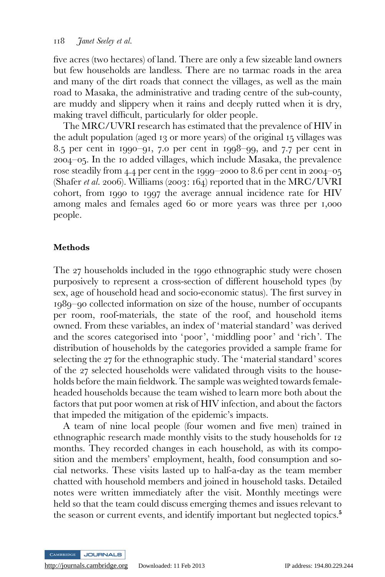five acres (two hectares) of land. There are only a few sizeable land owners but few households are landless. There are no tarmac roads in the area and many of the dirt roads that connect the villages, as well as the main road to Masaka, the administrative and trading centre of the sub-county, are muddy and slippery when it rains and deeply rutted when it is dry, making travel difficult, particularly for older people.

The MRC/UVRI research has estimated that the prevalence of HIV in the adult population (aged 13 or more years) of the original 15 villages was 8.5 per cent in 1990–91, 7.0 per cent in 1998–99, and  $7.7$  per cent in 2004–05. In the 10 added villages, which include Masaka, the prevalence rose steadily from 4.4 per cent in the 1999–2000 to 8.6 per cent in 2004–05 (Shafer *et al.* 2006). Williams (2003: 164) reported that in the MRC/UVRI cohort, from 1990 to 1997 the average annual incidence rate for HIV among males and females aged 60 or more years was three per 1,000 people.

## Methods

The 27 households included in the 1990 ethnographic study were chosen purposively to represent a cross-section of different household types (by sex, age of household head and socio-economic status). The first survey in 1989–90 collected information on size of the house, number of occupants per room, roof-materials, the state of the roof, and household items owned. From these variables, an index of 'material standard' was derived and the scores categorised into 'poor', 'middling poor' and ' rich'. The distribution of households by the categories provided a sample frame for selecting the 27 for the ethnographic study. The 'material standard' scores of the 27 selected households were validated through visits to the households before the main fieldwork. The sample was weighted towards femaleheaded households because the team wished to learn more both about the factors that put poor women at risk of HIV infection, and about the factors that impeded the mitigation of the epidemic's impacts.

A team of nine local people (four women and five men) trained in ethnographic research made monthly visits to the study households for 12 months. They recorded changes in each household, as with its composition and the members' employment, health, food consumption and social networks. These visits lasted up to half-a-day as the team member chatted with household members and joined in household tasks. Detailed notes were written immediately after the visit. Monthly meetings were held so that the team could discuss emerging themes and issues relevant to the season or current events, and identify important but neglected topics.<sup>5</sup>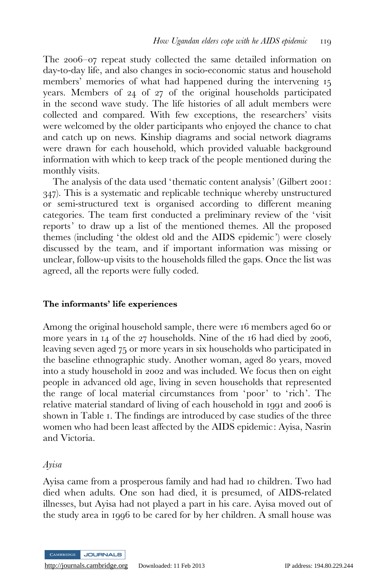The 2006–07 repeat study collected the same detailed information on day-to-day life, and also changes in socio-economic status and household members' memories of what had happened during the intervening 15 years. Members of 24 of 27 of the original households participated in the second wave study. The life histories of all adult members were collected and compared. With few exceptions, the researchers' visits were welcomed by the older participants who enjoyed the chance to chat and catch up on news. Kinship diagrams and social network diagrams were drawn for each household, which provided valuable background information with which to keep track of the people mentioned during the monthly visits.

The analysis of the data used 'thematic content analysis' (Gilbert 2001: 347). This is a systematic and replicable technique whereby unstructured or semi-structured text is organised according to different meaning categories. The team first conducted a preliminary review of the 'visit reports' to draw up a list of the mentioned themes. All the proposed themes (including 'the oldest old and the AIDS epidemic') were closely discussed by the team, and if important information was missing or unclear, follow-up visits to the households filled the gaps. Once the list was agreed, all the reports were fully coded.

#### The informants' life experiences

Among the original household sample, there were 16 members aged 60 or more years in 14 of the 27 households. Nine of the 16 had died by 2006, leaving seven aged 75 or more years in six households who participated in the baseline ethnographic study. Another woman, aged 80 years, moved into a study household in 2002 and was included. We focus then on eight people in advanced old age, living in seven households that represented the range of local material circumstances from 'poor' to ' rich'. The relative material standard of living of each household in 1991 and 2006 is shown in Table 1. The findings are introduced by case studies of the three women who had been least affected by the AIDS epidemic: Ayisa, Nasrin and Victoria.

#### Ayisa

Ayisa came from a prosperous family and had had 10 children. Two had died when adults. One son had died, it is presumed, of AIDS-related illnesses, but Ayisa had not played a part in his care. Ayisa moved out of the study area in 1996 to be cared for by her children. A small house was

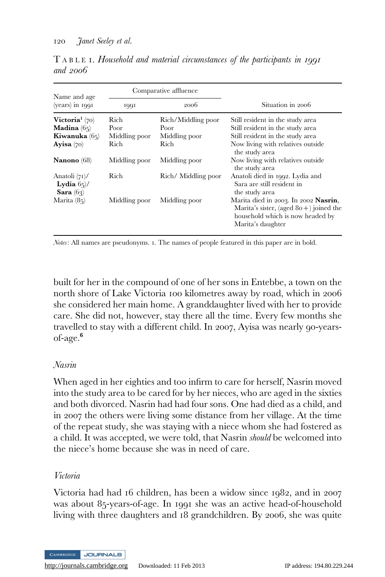| Name and age<br>$(years)$ in $1991$                 | Comparative affluence |                    |                                                                                                                                             |
|-----------------------------------------------------|-----------------------|--------------------|---------------------------------------------------------------------------------------------------------------------------------------------|
|                                                     | 1991                  | 2006               | Situation in 2006                                                                                                                           |
| Victoria <sup>1</sup> $(70)$                        | <b>Rich</b>           | Rich/Middling poor | Still resident in the study area                                                                                                            |
| <b>Madina</b> $(65)$                                | Poor                  | Poor               | Still resident in the study area                                                                                                            |
| Kiwanuka $(65)$                                     | Middling poor         | Middling poor      | Still resident in the study area                                                                                                            |
| Avisa $(70)$                                        | <b>Rich</b>           | Rich               | Now living with relatives outside<br>the study area                                                                                         |
| Nanono (68)                                         | Middling poor         | Middling poor      | Now living with relatives outside.<br>the study area                                                                                        |
| Anatoli (71)/<br>Lydia $65$ /<br><b>Sara</b> $(63)$ | Rich                  | Rich/Middling poor | Anatoli died in 1992. Lydia and<br>Sara are still resident in<br>the study area                                                             |
| Marita $(85)$                                       | Middling poor         | Middling poor      | Marita died in 2003. In 2002 Nasrin,<br>Marita's sister, (aged $80 +$ ) joined the<br>household which is now headed by<br>Marita's daughter |

T ABLE 1. Household and material circumstances of the participants in 1991 and 2006

Notes: All names are pseudonyms. I. The names of people featured in this paper are in bold.

built for her in the compound of one of her sons in Entebbe, a town on the north shore of Lake Victoria 100 kilometres away by road, which in 2006 she considered her main home. A granddaughter lived with her to provide care. She did not, however, stay there all the time. Every few months she travelled to stay with a different child. In 2007, Ayisa was nearly 90-yearsof-age.<sup>6</sup>

## Nasrin

When aged in her eighties and too infirm to care for herself, Nasrin moved into the study area to be cared for by her nieces, who are aged in the sixties and both divorced. Nasrin had had four sons. One had died as a child, and in 2007 the others were living some distance from her village. At the time of the repeat study, she was staying with a niece whom she had fostered as a child. It was accepted, we were told, that Nasrin should be welcomed into the niece's home because she was in need of care.

## Victoria

Victoria had had 16 children, has been a widow since 1982, and in 2007 was about 85-years-of-age. In 1991 she was an active head-of-household living with three daughters and 18 grandchildren. By 2006, she was quite

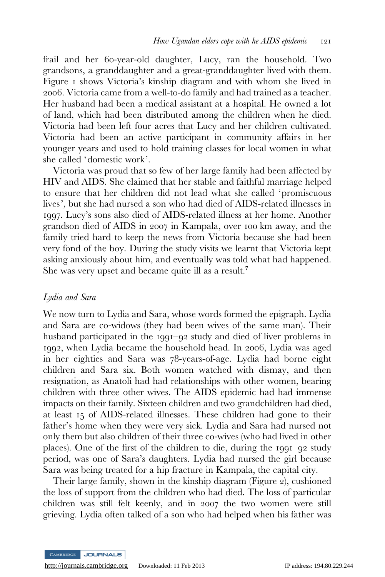frail and her 60-year-old daughter, Lucy, ran the household. Two grandsons, a granddaughter and a great-granddaughter lived with them. Figure 1 shows Victoria's kinship diagram and with whom she lived in 2006. Victoria came from a well-to-do family and had trained as a teacher. Her husband had been a medical assistant at a hospital. He owned a lot of land, which had been distributed among the children when he died. Victoria had been left four acres that Lucy and her children cultivated. Victoria had been an active participant in community affairs in her younger years and used to hold training classes for local women in what she called 'domestic work'.

Victoria was proud that so few of her large family had been affected by HIV and AIDS. She claimed that her stable and faithful marriage helped to ensure that her children did not lead what she called 'promiscuous lives', but she had nursed a son who had died of AIDS-related illnesses in 1997. Lucy's sons also died of AIDS-related illness at her home. Another grandson died of AIDS in 2007 in Kampala, over 100 km away, and the family tried hard to keep the news from Victoria because she had been very fond of the boy. During the study visits we learnt that Victoria kept asking anxiously about him, and eventually was told what had happened. She was very upset and became quite ill as a result.<sup>7</sup>

#### Lydia and Sara

We now turn to Lydia and Sara, whose words formed the epigraph. Lydia and Sara are co-widows (they had been wives of the same man). Their husband participated in the 1991–92 study and died of liver problems in 1992, when Lydia became the household head. In 2006, Lydia was aged in her eighties and Sara was 78-years-of-age. Lydia had borne eight children and Sara six. Both women watched with dismay, and then resignation, as Anatoli had had relationships with other women, bearing children with three other wives. The AIDS epidemic had had immense impacts on their family. Sixteen children and two grandchildren had died, at least 15 of AIDS-related illnesses. These children had gone to their father's home when they were very sick. Lydia and Sara had nursed not only them but also children of their three co-wives (who had lived in other places). One of the first of the children to die, during the 1991–92 study period, was one of Sara's daughters. Lydia had nursed the girl because Sara was being treated for a hip fracture in Kampala, the capital city.

Their large family, shown in the kinship diagram (Figure 2), cushioned the loss of support from the children who had died. The loss of particular children was still felt keenly, and in 2007 the two women were still grieving. Lydia often talked of a son who had helped when his father was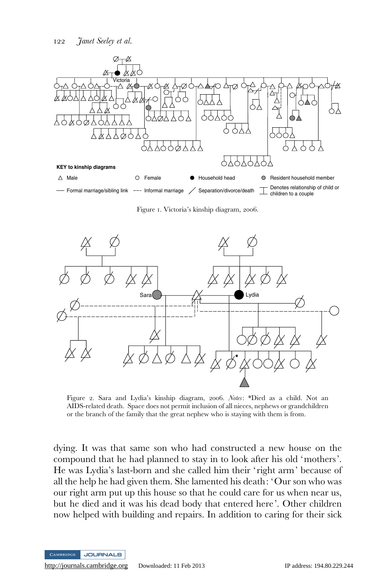

Figure 1. Victoria's kinship diagram, 2006.



Figure 2. Sara and Lydia's kinship diagram, 2006. Notes: \*Died as a child. Not an AIDS-related death. Space does not permit inclusion of all nieces, nephews or grandchildren or the branch of the family that the great nephew who is staying with them is from.

dying. It was that same son who had constructed a new house on the compound that he had planned to stay in to look after his old 'mothers'. He was Lydia's last-born and she called him their ' right arm' because of all the help he had given them. She lamented his death: 'Our son who was our right arm put up this house so that he could care for us when near us, but he died and it was his dead body that entered here'. Other children now helped with building and repairs. In addition to caring for their sick

CAMBRIDGE **JOURNALS**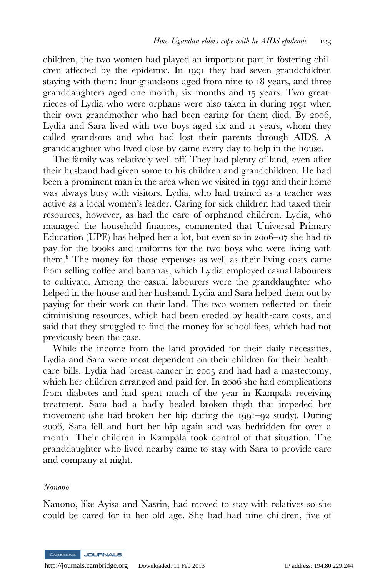children, the two women had played an important part in fostering children affected by the epidemic. In 1991 they had seven grandchildren staying with them: four grandsons aged from nine to 18 years, and three granddaughters aged one month, six months and 15 years. Two greatnieces of Lydia who were orphans were also taken in during 1991 when their own grandmother who had been caring for them died. By 2006, Lydia and Sara lived with two boys aged six and 11 years, whom they called grandsons and who had lost their parents through AIDS. A granddaughter who lived close by came every day to help in the house.

The family was relatively well off. They had plenty of land, even after their husband had given some to his children and grandchildren. He had been a prominent man in the area when we visited in 1991 and their home was always busy with visitors. Lydia, who had trained as a teacher was active as a local women's leader. Caring for sick children had taxed their resources, however, as had the care of orphaned children. Lydia, who managed the household finances, commented that Universal Primary Education (UPE) has helped her a lot, but even so in 2006–07 she had to pay for the books and uniforms for the two boys who were living with them.<sup>8</sup> The money for those expenses as well as their living costs came from selling coffee and bananas, which Lydia employed casual labourers to cultivate. Among the casual labourers were the granddaughter who helped in the house and her husband. Lydia and Sara helped them out by paying for their work on their land. The two women reflected on their diminishing resources, which had been eroded by health-care costs, and said that they struggled to find the money for school fees, which had not previously been the case.

While the income from the land provided for their daily necessities, Lydia and Sara were most dependent on their children for their healthcare bills. Lydia had breast cancer in 2005 and had had a mastectomy, which her children arranged and paid for. In 2006 she had complications from diabetes and had spent much of the year in Kampala receiving treatment. Sara had a badly healed broken thigh that impeded her movement (she had broken her hip during the 1991–92 study). During 2006, Sara fell and hurt her hip again and was bedridden for over a month. Their children in Kampala took control of that situation. The granddaughter who lived nearby came to stay with Sara to provide care and company at night.

#### Nanono

Nanono, like Ayisa and Nasrin, had moved to stay with relatives so she could be cared for in her old age. She had had nine children, five of

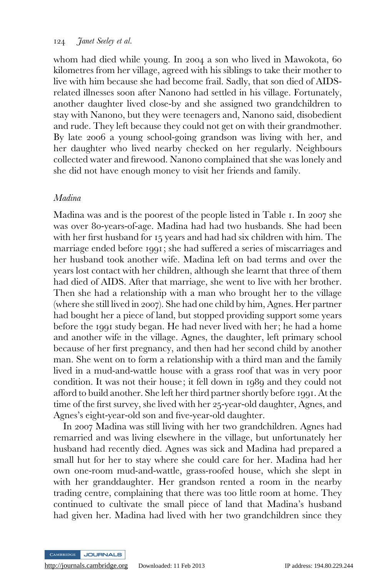whom had died while young. In 2004 a son who lived in Mawokota, 60 kilometres from her village, agreed with his siblings to take their mother to live with him because she had become frail. Sadly, that son died of AIDSrelated illnesses soon after Nanono had settled in his village. Fortunately, another daughter lived close-by and she assigned two grandchildren to stay with Nanono, but they were teenagers and, Nanono said, disobedient and rude. They left because they could not get on with their grandmother. By late 2006 a young school-going grandson was living with her, and her daughter who lived nearby checked on her regularly. Neighbours collected water and firewood. Nanono complained that she was lonely and she did not have enough money to visit her friends and family.

## Madina

Madina was and is the poorest of the people listed in Table 1. In 2007 she was over 80-years-of-age. Madina had had two husbands. She had been with her first husband for 15 years and had had six children with him. The marriage ended before 1991; she had suffered a series of miscarriages and her husband took another wife. Madina left on bad terms and over the years lost contact with her children, although she learnt that three of them had died of AIDS. After that marriage, she went to live with her brother. Then she had a relationship with a man who brought her to the village (where she still lived in 2007). She had one child by him, Agnes. Her partner had bought her a piece of land, but stopped providing support some years before the 1991 study began. He had never lived with her; he had a home and another wife in the village. Agnes, the daughter, left primary school because of her first pregnancy, and then had her second child by another man. She went on to form a relationship with a third man and the family lived in a mud-and-wattle house with a grass roof that was in very poor condition. It was not their house; it fell down in 1989 and they could not afford to build another. She left her third partner shortly before 1991. At the time of the first survey, she lived with her 25-year-old daughter, Agnes, and Agnes's eight-year-old son and five-year-old daughter.

In 2007 Madina was still living with her two grandchildren. Agnes had remarried and was living elsewhere in the village, but unfortunately her husband had recently died. Agnes was sick and Madina had prepared a small hut for her to stay where she could care for her. Madina had her own one-room mud-and-wattle, grass-roofed house, which she slept in with her granddaughter. Her grandson rented a room in the nearby trading centre, complaining that there was too little room at home. They continued to cultivate the small piece of land that Madina's husband had given her. Madina had lived with her two grandchildren since they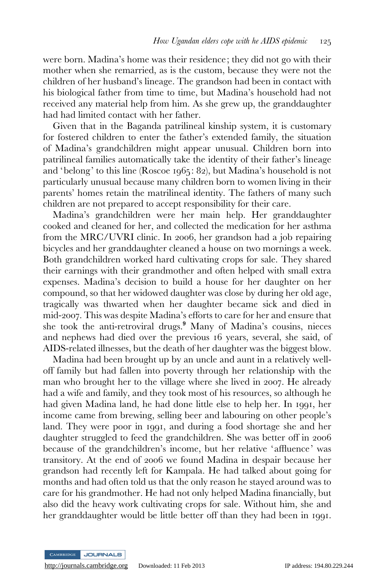were born. Madina's home was their residence; they did not go with their mother when she remarried, as is the custom, because they were not the children of her husband's lineage. The grandson had been in contact with his biological father from time to time, but Madina's household had not received any material help from him. As she grew up, the granddaughter had had limited contact with her father.

Given that in the Baganda patrilineal kinship system, it is customary for fostered children to enter the father's extended family, the situation of Madina's grandchildren might appear unusual. Children born into patrilineal families automatically take the identity of their father's lineage and 'belong' to this line (Roscoe 1965: 82), but Madina's household is not particularly unusual because many children born to women living in their parents' homes retain the matrilineal identity. The fathers of many such children are not prepared to accept responsibility for their care.

Madina's grandchildren were her main help. Her granddaughter cooked and cleaned for her, and collected the medication for her asthma from the MRC/UVRI clinic. In 2006, her grandson had a job repairing bicycles and her granddaughter cleaned a house on two mornings a week. Both grandchildren worked hard cultivating crops for sale. They shared their earnings with their grandmother and often helped with small extra expenses. Madina's decision to build a house for her daughter on her compound, so that her widowed daughter was close by during her old age, tragically was thwarted when her daughter became sick and died in mid-2007. This was despite Madina's efforts to care for her and ensure that she took the anti-retroviral drugs.<sup>9</sup> Many of Madina's cousins, nieces and nephews had died over the previous 16 years, several, she said, of AIDS-related illnesses, but the death of her daughter was the biggest blow.

Madina had been brought up by an uncle and aunt in a relatively welloff family but had fallen into poverty through her relationship with the man who brought her to the village where she lived in 2007. He already had a wife and family, and they took most of his resources, so although he had given Madina land, he had done little else to help her. In 1991, her income came from brewing, selling beer and labouring on other people's land. They were poor in 1991, and during a food shortage she and her daughter struggled to feed the grandchildren. She was better off in 2006 because of the grandchildren's income, but her relative 'affluence' was transitory. At the end of 2006 we found Madina in despair because her grandson had recently left for Kampala. He had talked about going for months and had often told us that the only reason he stayed around was to care for his grandmother. He had not only helped Madina financially, but also did the heavy work cultivating crops for sale. Without him, she and her granddaughter would be little better off than they had been in 1991.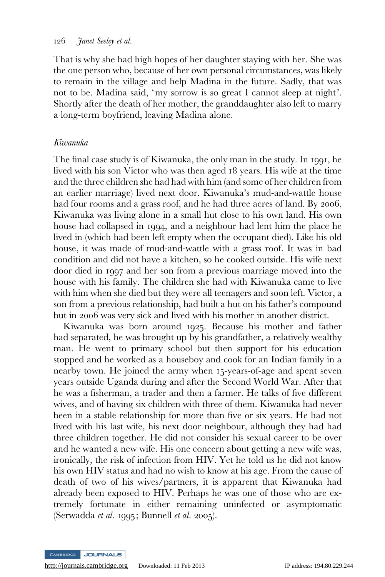That is why she had high hopes of her daughter staying with her. She was the one person who, because of her own personal circumstances, was likely to remain in the village and help Madina in the future. Sadly, that was not to be. Madina said, 'my sorrow is so great I cannot sleep at night'. Shortly after the death of her mother, the granddaughter also left to marry a long-term boyfriend, leaving Madina alone.

## Kiwanuka

The final case study is of Kiwanuka, the only man in the study. In 1991, he lived with his son Victor who was then aged 18 years. His wife at the time and the three children she had had with him (and some of her children from an earlier marriage) lived next door. Kiwanuka's mud-and-wattle house had four rooms and a grass roof, and he had three acres of land. By 2006, Kiwanuka was living alone in a small hut close to his own land. His own house had collapsed in 1994, and a neighbour had lent him the place he lived in (which had been left empty when the occupant died). Like his old house, it was made of mud-and-wattle with a grass roof. It was in bad condition and did not have a kitchen, so he cooked outside. His wife next door died in 1997 and her son from a previous marriage moved into the house with his family. The children she had with Kiwanuka came to live with him when she died but they were all teenagers and soon left. Victor, a son from a previous relationship, had built a hut on his father's compound but in 2006 was very sick and lived with his mother in another district.

Kiwanuka was born around 1925. Because his mother and father had separated, he was brought up by his grandfather, a relatively wealthy man. He went to primary school but then support for his education stopped and he worked as a houseboy and cook for an Indian family in a nearby town. He joined the army when 15-years-of-age and spent seven years outside Uganda during and after the Second World War. After that he was a fisherman, a trader and then a farmer. He talks of five different wives, and of having six children with three of them. Kiwanuka had never been in a stable relationship for more than five or six years. He had not lived with his last wife, his next door neighbour, although they had had three children together. He did not consider his sexual career to be over and he wanted a new wife. His one concern about getting a new wife was, ironically, the risk of infection from HIV. Yet he told us he did not know his own HIV status and had no wish to know at his age. From the cause of death of two of his wives/partners, it is apparent that Kiwanuka had already been exposed to HIV. Perhaps he was one of those who are extremely fortunate in either remaining uninfected or asymptomatic (Serwadda et al. 1995; Bunnell et al. 2005).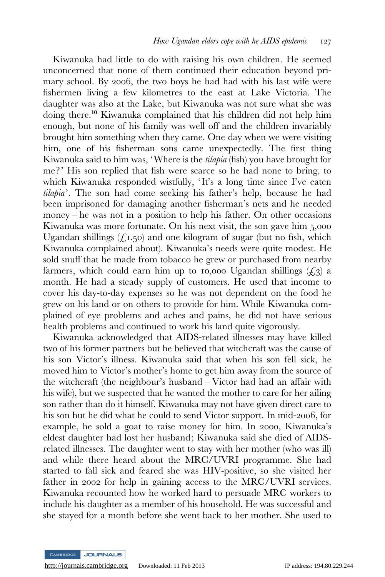Kiwanuka had little to do with raising his own children. He seemed unconcerned that none of them continued their education beyond primary school. By 2006, the two boys he had had with his last wife were fishermen living a few kilometres to the east at Lake Victoria. The daughter was also at the Lake, but Kiwanuka was not sure what she was doing there.<sup>10</sup> Kiwanuka complained that his children did not help him enough, but none of his family was well off and the children invariably brought him something when they came. One day when we were visiting him, one of his fisherman sons came unexpectedly. The first thing Kiwanuka said to him was, 'Where is the tilapia (fish) you have brought for me ?' His son replied that fish were scarce so he had none to bring, to which Kiwanuka responded wistfully, 'It's a long time since I've eaten tilapia'. The son had come seeking his father's help, because he had been imprisoned for damaging another fisherman's nets and he needed money – he was not in a position to help his father. On other occasions Kiwanuka was more fortunate. On his next visit, the son gave him 5,000 Ugandan shillings  $(f_1, f_0)$  and one kilogram of sugar (but no fish, which Kiwanuka complained about). Kiwanuka's needs were quite modest. He sold snuff that he made from tobacco he grew or purchased from nearby farmers, which could earn him up to 10,000 Ugandan shillings  $(f_3)$  a month. He had a steady supply of customers. He used that income to cover his day-to-day expenses so he was not dependent on the food he grew on his land or on others to provide for him. While Kiwanuka complained of eye problems and aches and pains, he did not have serious health problems and continued to work his land quite vigorously.

Kiwanuka acknowledged that AIDS-related illnesses may have killed two of his former partners but he believed that witchcraft was the cause of his son Victor's illness. Kiwanuka said that when his son fell sick, he moved him to Victor's mother's home to get him away from the source of the witchcraft (the neighbour's husband – Victor had had an affair with his wife), but we suspected that he wanted the mother to care for her ailing son rather than do it himself. Kiwanuka may not have given direct care to his son but he did what he could to send Victor support. In mid-2006, for example, he sold a goat to raise money for him. In 2000, Kiwanuka's eldest daughter had lost her husband; Kiwanuka said she died of AIDSrelated illnesses. The daughter went to stay with her mother (who was ill) and while there heard about the MRC/UVRI programme. She had started to fall sick and feared she was HIV-positive, so she visited her father in 2002 for help in gaining access to the MRC/UVRI services. Kiwanuka recounted how he worked hard to persuade MRC workers to include his daughter as a member of his household. He was successful and she stayed for a month before she went back to her mother. She used to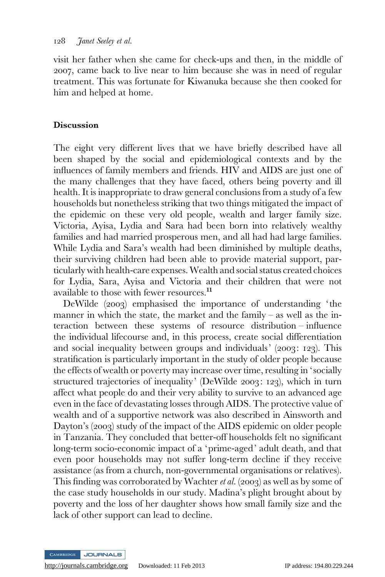visit her father when she came for check-ups and then, in the middle of 2007, came back to live near to him because she was in need of regular treatment. This was fortunate for Kiwanuka because she then cooked for him and helped at home.

## **Discussion**

The eight very different lives that we have briefly described have all been shaped by the social and epidemiological contexts and by the influences of family members and friends. HIV and AIDS are just one of the many challenges that they have faced, others being poverty and ill health. It is inappropriate to draw general conclusions from a study of a few households but nonetheless striking that two things mitigated the impact of the epidemic on these very old people, wealth and larger family size. Victoria, Ayisa, Lydia and Sara had been born into relatively wealthy families and had married prosperous men, and all had had large families. While Lydia and Sara's wealth had been diminished by multiple deaths, their surviving children had been able to provide material support, particularly with health-care expenses. Wealth and social status created choices for Lydia, Sara, Ayisa and Victoria and their children that were not available to those with fewer resources.<sup>11</sup>

DeWilde (2003) emphasised the importance of understanding 'the manner in which the state, the market and the family – as well as the interaction between these systems of resource distribution – influence the individual lifecourse and, in this process, create social differentiation and social inequality between groups and individuals' (2003: 123). This stratification is particularly important in the study of older people because the effects of wealth or poverty may increase over time, resulting in ' socially structured trajectories of inequality' (DeWilde 2003: 123), which in turn affect what people do and their very ability to survive to an advanced age even in the face of devastating losses through AIDS. The protective value of wealth and of a supportive network was also described in Ainsworth and Dayton's (2003) study of the impact of the AIDS epidemic on older people in Tanzania. They concluded that better-off households felt no significant long-term socio-economic impact of a 'prime-aged' adult death, and that even poor households may not suffer long-term decline if they receive assistance (as from a church, non-governmental organisations or relatives). This finding was corroborated by Wachter *et al.* (2003) as well as by some of the case study households in our study. Madina's plight brought about by poverty and the loss of her daughter shows how small family size and the lack of other support can lead to decline.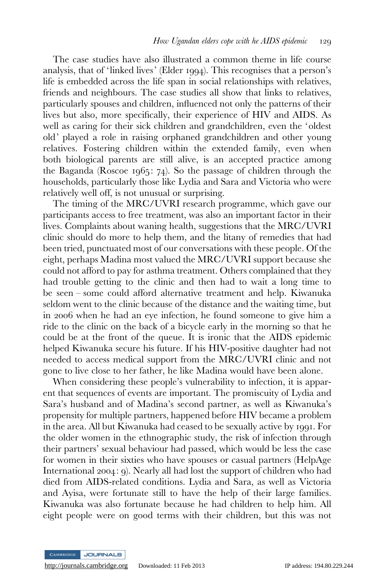The case studies have also illustrated a common theme in life course analysis, that of 'linked lives' (Elder 1994). This recognises that a person's life is embedded across the life span in social relationships with relatives, friends and neighbours. The case studies all show that links to relatives, particularly spouses and children, influenced not only the patterns of their lives but also, more specifically, their experience of HIV and AIDS. As well as caring for their sick children and grandchildren, even the 'oldest old' played a role in raising orphaned grandchildren and other young relatives. Fostering children within the extended family, even when both biological parents are still alive, is an accepted practice among the Baganda (Roscoe 1965: 74). So the passage of children through the households, particularly those like Lydia and Sara and Victoria who were relatively well off, is not unusual or surprising.

The timing of the MRC/UVRI research programme, which gave our participants access to free treatment, was also an important factor in their lives. Complaints about waning health, suggestions that the MRC/UVRI clinic should do more to help them, and the litany of remedies that had been tried, punctuated most of our conversations with these people. Of the eight, perhaps Madina most valued the MRC/UVRI support because she could not afford to pay for asthma treatment. Others complained that they had trouble getting to the clinic and then had to wait a long time to be seen – some could afford alternative treatment and help. Kiwanuka seldom went to the clinic because of the distance and the waiting time, but in 2006 when he had an eye infection, he found someone to give him a ride to the clinic on the back of a bicycle early in the morning so that he could be at the front of the queue. It is ironic that the AIDS epidemic helped Kiwanuka secure his future. If his HIV-positive daughter had not needed to access medical support from the MRC/UVRI clinic and not gone to live close to her father, he like Madina would have been alone.

When considering these people's vulnerability to infection, it is apparent that sequences of events are important. The promiscuity of Lydia and Sara's husband and of Madina's second partner, as well as Kiwanuka's propensity for multiple partners, happened before HIV became a problem in the area. All but Kiwanuka had ceased to be sexually active by 1991. For the older women in the ethnographic study, the risk of infection through their partners' sexual behaviour had passed, which would be less the case for women in their sixties who have spouses or casual partners (HelpAge International 2004: 9). Nearly all had lost the support of children who had died from AIDS-related conditions. Lydia and Sara, as well as Victoria and Ayisa, were fortunate still to have the help of their large families. Kiwanuka was also fortunate because he had children to help him. All eight people were on good terms with their children, but this was not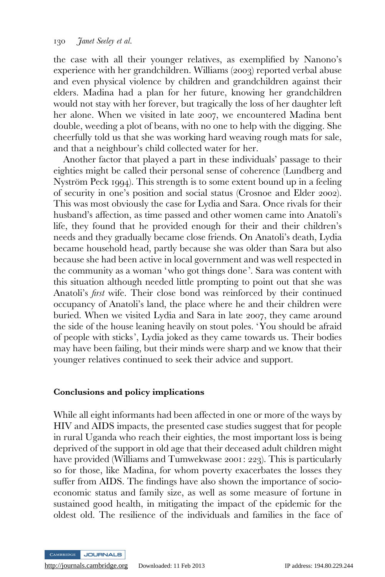the case with all their younger relatives, as exemplified by Nanono's experience with her grandchildren. Williams (2003) reported verbal abuse and even physical violence by children and grandchildren against their elders. Madina had a plan for her future, knowing her grandchildren would not stay with her forever, but tragically the loss of her daughter left her alone. When we visited in late 2007, we encountered Madina bent double, weeding a plot of beans, with no one to help with the digging. She cheerfully told us that she was working hard weaving rough mats for sale, and that a neighbour's child collected water for her.

Another factor that played a part in these individuals' passage to their eighties might be called their personal sense of coherence (Lundberg and Nyström Peck  $1994$ ). This strength is to some extent bound up in a feeling of security in one's position and social status (Crosnoe and Elder 2002). This was most obviously the case for Lydia and Sara. Once rivals for their husband's affection, as time passed and other women came into Anatoli's life, they found that he provided enough for their and their children's needs and they gradually became close friends. On Anatoli's death, Lydia became household head, partly because she was older than Sara but also because she had been active in local government and was well respected in the community as a woman 'who got things done'. Sara was content with this situation although needed little prompting to point out that she was Anatoli's first wife. Their close bond was reinforced by their continued occupancy of Anatoli's land, the place where he and their children were buried. When we visited Lydia and Sara in late 2007, they came around the side of the house leaning heavily on stout poles. 'You should be afraid of people with sticks', Lydia joked as they came towards us. Their bodies may have been failing, but their minds were sharp and we know that their younger relatives continued to seek their advice and support.

## Conclusions and policy implications

While all eight informants had been affected in one or more of the ways by HIV and AIDS impacts, the presented case studies suggest that for people in rural Uganda who reach their eighties, the most important loss is being deprived of the support in old age that their deceased adult children might have provided (Williams and Tumwekwase 2001: 223). This is particularly so for those, like Madina, for whom poverty exacerbates the losses they suffer from AIDS. The findings have also shown the importance of socioeconomic status and family size, as well as some measure of fortune in sustained good health, in mitigating the impact of the epidemic for the oldest old. The resilience of the individuals and families in the face of

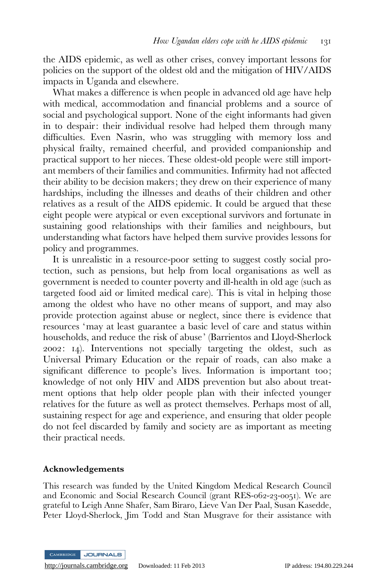the AIDS epidemic, as well as other crises, convey important lessons for policies on the support of the oldest old and the mitigation of HIV/AIDS impacts in Uganda and elsewhere.

What makes a difference is when people in advanced old age have help with medical, accommodation and financial problems and a source of social and psychological support. None of the eight informants had given in to despair: their individual resolve had helped them through many difficulties. Even Nasrin, who was struggling with memory loss and physical frailty, remained cheerful, and provided companionship and practical support to her nieces. These oldest-old people were still important members of their families and communities. Infirmity had not affected their ability to be decision makers; they drew on their experience of many hardships, including the illnesses and deaths of their children and other relatives as a result of the AIDS epidemic. It could be argued that these eight people were atypical or even exceptional survivors and fortunate in sustaining good relationships with their families and neighbours, but understanding what factors have helped them survive provides lessons for policy and programmes.

It is unrealistic in a resource-poor setting to suggest costly social protection, such as pensions, but help from local organisations as well as government is needed to counter poverty and ill-health in old age (such as targeted food aid or limited medical care). This is vital in helping those among the oldest who have no other means of support, and may also provide protection against abuse or neglect, since there is evidence that resources 'may at least guarantee a basic level of care and status within households, and reduce the risk of abuse' (Barrientos and Lloyd-Sherlock 2002: 14). Interventions not specially targeting the oldest, such as Universal Primary Education or the repair of roads, can also make a significant difference to people's lives. Information is important too; knowledge of not only HIV and AIDS prevention but also about treatment options that help older people plan with their infected younger relatives for the future as well as protect themselves. Perhaps most of all, sustaining respect for age and experience, and ensuring that older people do not feel discarded by family and society are as important as meeting their practical needs.

#### Acknowledgements

This research was funded by the United Kingdom Medical Research Council and Economic and Social Research Council (grant RES-062-23-0051). We are grateful to Leigh Anne Shafer, Sam Biraro, Lieve Van Der Paal, Susan Kasedde, Peter Lloyd-Sherlock, Jim Todd and Stan Musgrave for their assistance with

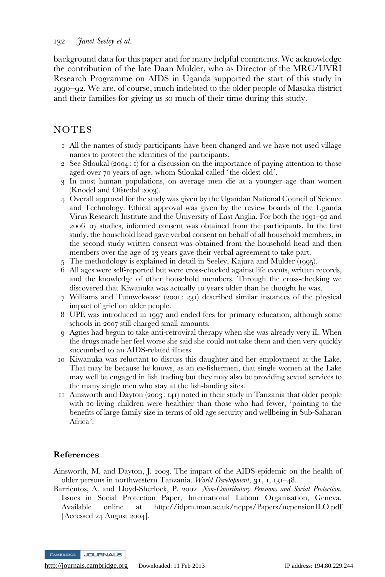background data for this paper and for many helpful comments. We acknowledge the contribution of the late Daan Mulder, who as Director of the MRC/UVRI Research Programme on AIDS in Uganda supported the start of this study in 1990–92. We are, of course, much indebted to the older people of Masaka district and their families for giving us so much of their time during this study.

## **NOTES**

- 1 All the names of study participants have been changed and we have not used village names to protect the identities of the participants.
- 2 See Stloukal (2004: 1) for a discussion on the importance of paying attention to those aged over 70 years of age, whom Stloukal called 'the oldest old'.
- 3 In most human populations, on average men die at a younger age than women (Knodel and Ofstedal 2003).
- 4 Overall approval for the study was given by the Ugandan National Council of Science and Technology. Ethical approval was given by the review boards of the Uganda Virus Research Institute and the University of East Anglia. For both the 1991–92 and 2006–07 studies, informed consent was obtained from the participants. In the first study, the household head gave verbal consent on behalf of all household members, in the second study written consent was obtained from the household head and then members over the age of 13 years gave their verbal agreement to take part.
- 5 The methodology is explained in detail in Seeley, Kajura and Mulder (1995).
- 6 All ages were self-reported but were cross-checked against life events, written records, and the knowledge of other household members. Through the cross-checking we discovered that Kiwanuka was actually 10 years older than he thought he was.
- 7 Williams and Tumwekwase (2001: 231) described similar instances of the physical impact of grief on older people.
- 8 UPE was introduced in 1997 and ended fees for primary education, although some schools in 2007 still charged small amounts.
- 9 Agnes had begun to take anti-retroviral therapy when she was already very ill. When the drugs made her feel worse she said she could not take them and then very quickly succumbed to an AIDS-related illness.
- 10 Kiwanuka was reluctant to discuss this daughter and her employment at the Lake. That may be because he knows, as an ex-fishermen, that single women at the Lake may well be engaged in fish trading but they may also be providing sexual services to the many single men who stay at the fish-landing sites.
- 11 Ainsworth and Dayton (2003: 141) noted in their study in Tanzania that older people with 10 living children were healthier than those who had fewer, 'pointing to the benefits of large family size in terms of old age security and wellbeing in Sub-Saharan Africa'.

## References

Ainsworth, M. and Dayton, J. 2003. The impact of the AIDS epidemic on the health of older persons in northwestern Tanzania. World Development, 31, 1, 131–48.

Barrientos, A. and Lloyd-Sherlock, P. 2002. Non-Contributory Pensions and Social Protection. Issues in Social Protection Paper, International Labour Organisation, Geneva. Available online at http://idpm.man.ac.uk/ncpps/Papers/ncpensionILO.pdf [Accessed 24 August 2004].

**JOURNALS**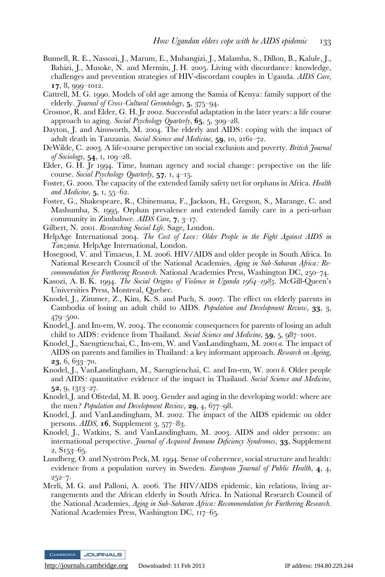- Bunnell, R. E., Nassozi, J., Marum, E., Mubangizi, J., Malamba, S., Dillon, B., Kalule, J., Bahizi, J., Musoke, N. and Mermin, J. H. 2005. Living with discordance: knowledge, challenges and prevention strategies of HIV-discordant couples in Uganda. AIDS Care, 17, 8, 999–1012.
- Cattrell, M. G. 1990. Models of old age among the Samia of Kenya: family support of the elderly. Journal of Cross-Cultural Gerontology, 5, 375-94.
- Crosnoe, R. and Elder, G. H. Jr 2002. Successful adaptation in the later years: a life course approach to aging. Social Psychology Quarterly,  $65, 5, 309-28$ .
- Dayton, J. and Ainsworth, M. 2004. The elderly and AIDS: coping with the impact of adult death in Tanzania. Social Science and Medicine, 59, 10, 2161-72.
- DeWilde, C. 2003. A life-course perspective on social exclusion and poverty. British Journal of Sociology,  $54$ , 1, 100–28.
- Elder, G. H. Jr 1994. Time, human agency and social change: perspective on the life course. Social Psychology Quarterly,  $57$ , 1,  $4$ -15.
- Foster, G. 2000. The capacity of the extended family safety net for orphans in Africa. Health and Medicine,  $5, 1, 55 - 62$ .
- Foster, G., Shakespeare, R., Chinemana, F., Jackson, H., Gregson, S., Marange, C. and Mashumba, S. 1995. Orphan prevalence and extended family care in a peri-urban community in Zimbabwe. AIDS Care, 7, 3–17.
- Gilbert, N. 2001. Researching Social Life. Sage, London.
- HelpAge International 2004. The Cost of Love: Older People in the Fight Against AIDS in Tanzania. HelpAge International, London.
- Hosegood, V. and Timaeus, I. M. 2006. HIV/AIDS and older people in South Africa. In National Research Council of the National Academies, Aging in Sub-Saharan Africa: Recommendation for Furthering Research. National Academies Press, Washington DC, 250–74.
- Kasozi, A. B. K. 1994. The Social Origins of Violence in Uganda 1964–1985. McGill-Queen's Universities Press, Montreal, Quebec.
- Knodel, J., Zimmer, Z., Kim, K. S. and Puch, S. 2007. The effect on elderly parents in Cambodia of losing an adult child to AIDS. Population and Development Review, 33, 3, 479–500.
- Knodel, J. and Im-em, W. 2004. The economic consequences for parents of losing an adult child to AIDS: evidence from Thailand. Social Science and Medicine, 59, 5, 987-1001.
- Knodel, J., Saengtienchai, C., Im-em, W. and VanLandingham, M. 2001a. The impact of AIDS on parents and families in Thailand: a key informant approach. Research on Ageing, 23, 6, 633–70.
- Knodel, J., VanLandingham, M., Saengtienchai, C. and Im-em, W. 2001 b. Older people and AIDS: quantitative evidence of the impact in Thailand. Social Science and Medicine, 52, 9, 1313–27.
- Knodel, J. and Ofstedal, M. B. 2003. Gender and aging in the developing world: where are the men? Population and Development Review, 29, 4, 677-98.
- Knodel, J. and VanLandingham, M. 2002. The impact of the AIDS epidemic on older persons. AIDS,  $\mathbf{16}$ , Supplement 3, 577–83.
- Knodel, J., Watkins, S. and VanLandingham, M. 2003. AIDS and older persons: an international perspective. Journal of Acquired Immune Deficiency Syndromes, 33, Supplement 2, S153–65.
- Lundberg, O. and Nyström Peck, M. 1994. Sense of coherence, social structure and health: evidence from a population survey in Sweden. European Journal of Public Health, 4, 4,  $252 - 7.$
- Merli, M. G. and Palloni, A. 2006. The HIV/AIDS epidemic, kin relations, living arrangements and the African elderly in South Africa. In National Research Council of the National Academies, Aging in Sub-Saharan Africa: Recommendation for Furthering Research. National Academies Press, Washington DC, 117–65.